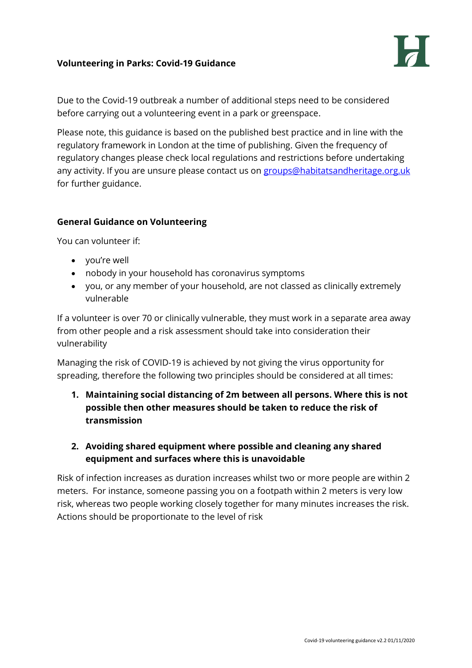# **Volunteering in Parks: Covid-19 Guidance**



Due to the Covid-19 outbreak a number of additional steps need to be considered before carrying out a volunteering event in a park or greenspace.

Please note, this guidance is based on the published best practice and in line with the regulatory framework in London at the time of publishing. Given the frequency of regulatory changes please check local regulations and restrictions before undertaking any activity. If you are unsure please contact us on [groups@habitatsandheritage.org.uk](mailto:groups@habitatsandheritage.org.uk) for further guidance.

## **General Guidance on Volunteering**

You can volunteer if:

- you're well
- nobody in your household has coronavirus symptoms
- you, or any member of your household, are not classed as clinically extremely vulnerable

If a volunteer is over 70 or clinically vulnerable, they must work in a separate area away from other people and a risk assessment should take into consideration their vulnerability

Managing the risk of COVID-19 is achieved by not giving the virus opportunity for spreading, therefore the following two principles should be considered at all times:

- **1. Maintaining social distancing of 2m between all persons. Where this is not possible then other measures should be taken to reduce the risk of transmission**
- **2. Avoiding shared equipment where possible and cleaning any shared equipment and surfaces where this is unavoidable**

Risk of infection increases as duration increases whilst two or more people are within 2 meters. For instance, someone passing you on a footpath within 2 meters is very low risk, whereas two people working closely together for many minutes increases the risk. Actions should be proportionate to the level of risk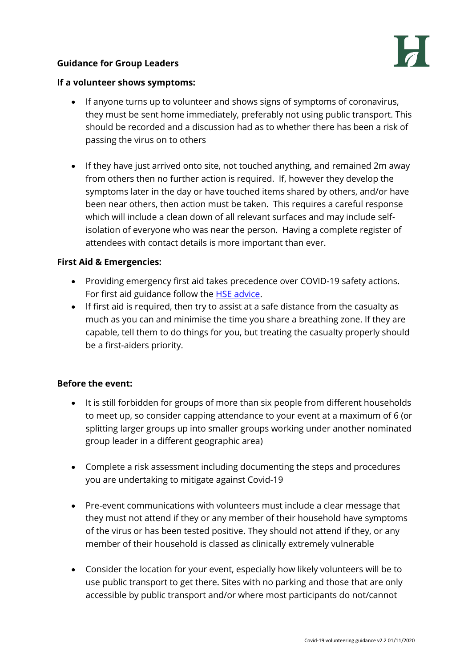## **Guidance for Group Leaders**



#### **If a volunteer shows symptoms:**

- If anyone turns up to volunteer and shows signs of symptoms of coronavirus, they must be sent home immediately, preferably not using public transport. This should be recorded and a discussion had as to whether there has been a risk of passing the virus on to others
- If they have just arrived onto site, not touched anything, and remained 2m away from others then no further action is required. If, however they develop the symptoms later in the day or have touched items shared by others, and/or have been near others, then action must be taken. This requires a careful response which will include a clean down of all relevant surfaces and may include selfisolation of everyone who was near the person. Having a complete register of attendees with contact details is more important than ever.

### **First Aid & Emergencies:**

- Providing emergency first aid takes precedence over COVID-19 safety actions. For first aid guidance follow the [HSE advice.](https://www.hse.gov.uk/coronavirus/first-aid-and-medicals/first-aid-certificate-coronavirus.htm)
- If first aid is required, then try to assist at a safe distance from the casualty as much as you can and minimise the time you share a breathing zone. If they are capable, tell them to do things for you, but treating the casualty properly should be a first-aiders priority.

### **Before the event:**

- It is still forbidden for groups of more than six people from different households to meet up, so consider capping attendance to your event at a maximum of 6 (or splitting larger groups up into smaller groups working under another nominated group leader in a different geographic area)
- Complete a risk assessment including documenting the steps and procedures you are undertaking to mitigate against Covid-19
- Pre-event communications with volunteers must include a clear message that they must not attend if they or any member of their household have symptoms of the virus or has been tested positive. They should not attend if they, or any member of their household is classed as clinically extremely vulnerable
- Consider the location for your event, especially how likely volunteers will be to use public transport to get there. Sites with no parking and those that are only accessible by public transport and/or where most participants do not/cannot